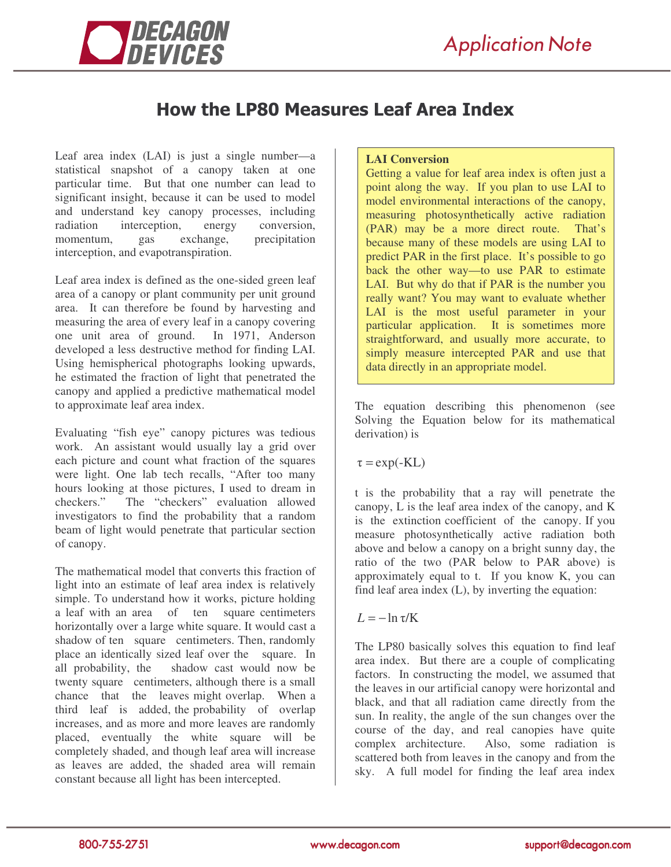

# **How the LP80 Measures Leaf Area Index**

Leaf area index (LAI) is just a single number—a statistical snapshot of a canopy taken at one particular time. But that one number can lead to significant insight, because it can be used to model and understand key canopy processes, including radiation interception, energy conversion, momentum, gas exchange, precipitation interception, and evapotranspiration.

Leaf area index is defined as the one-sided green leaf area of a canopy or plant community per unit ground area. It can therefore be found by harvesting and measuring the area of every leaf in a canopy covering one unit area of ground. In 1971, Anderson developed a less destructive method for finding LAI. Using hemispherical photographs looking upwards, he estimated the fraction of light that penetrated the canopy and applied a predictive mathematical model to approximate leaf area index.

Evaluating "fish eye" canopy pictures was tedious work. An assistant would usually lay a grid over each picture and count what fraction of the squares were light. One lab tech recalls, "After too many hours looking at those pictures, I used to dream in checkers." The "checkers" evaluation allowed investigators to find the probability that a random beam of light would penetrate that particular section of canopy.

The mathematical model that converts this fraction of light into an estimate of leaf area index is relatively simple. To understand how it works, picture holding a leaf with an area of ten square centimeters horizontally over a large white square. It would cast a shadow of ten square centimeters. Then, randomly place an identically sized leaf over the square. In all probability, the shadow cast would now be twenty square centimeters, although there is a small chance that the leaves might overlap. When a third leaf is added, the probability of overlap increases, and as more and more leaves are randomly placed, eventually the white square will be completely shaded, and though leaf area will increase as leaves are added, the shaded area will remain constant because all light has been intercepted.

### **LAI Conversion**

Getting a value for leaf area index is often just a point along the way. If you plan to use LAI to model environmental interactions of the canopy, measuring photosynthetically active radiation (PAR) may be a more direct route. That's because many of these models are using LAI to predict PAR in the first place. It's possible to go back the other way—to use PAR to estimate LAI. But why do that if PAR is the number you really want? You may want to evaluate whether LAI is the most useful parameter in your particular application. It is sometimes more straightforward, and usually more accurate, to simply measure intercepted PAR and use that data directly in an appropriate model.

The equation describing this phenomenon (see Solving the Equation below for its mathematical derivation) is

 $\tau = \exp(-KL)$ 

t is the probability that a ray will penetrate the canopy, L is the leaf area index of the canopy, and K is the extinction coefficient of the canopy. If you measure photosynthetically active radiation both above and below a canopy on a bright sunny day, the ratio of the two (PAR below to PAR above) is approximately equal to t. If you know K, you can find leaf area index  $(L)$ , by inverting the equation:

### $L = -\ln \tau/K$

The LP80 basically solves this equation to find leaf area index. But there are a couple of complicating factors. In constructing the model, we assumed that the leaves in our artificial canopy were horizontal and black, and that all radiation came directly from the sun. In reality, the angle of the sun changes over the course of the day, and real canopies have quite<br>complex architecture. Also, some radiation is Also, some radiation is scattered both from leaves in the canopy and from the sky. A full model for finding the leaf area index